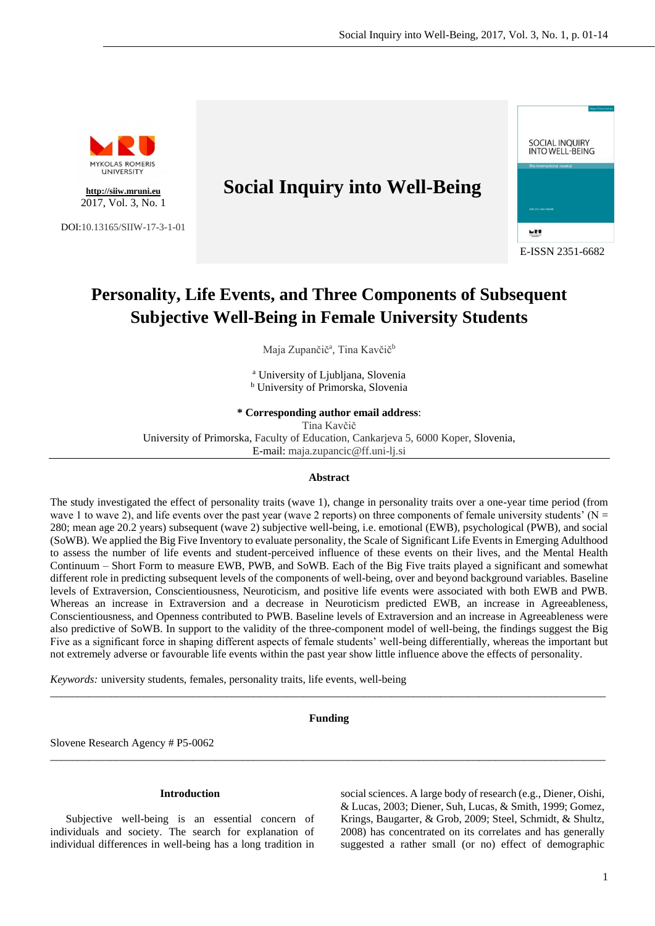

# **Personality, Life Events, and Three Components of Subsequent Subjective Well-Being in Female University Students**

Maja Zupančič<sup>a</sup>, Tina Kavčič<sup>b</sup>

<sup>a</sup> University of Ljubljana, Slovenia <sup>b</sup> University of Primorska, Slovenia

**\* Corresponding author email address**:

Tina Kavčič

University of Primorska, Faculty of Education, Cankarjeva 5, 6000 Koper, Slovenia,

E-mail: maja.zupancic@ff.uni-lj.si

# **Abstract**

The study investigated the effect of personality traits (wave 1), change in personality traits over a one-year time period (from wave 1 to wave 2), and life events over the past year (wave 2 reports) on three components of female university students' (N = 280; mean age 20.2 years) subsequent (wave 2) subjective well-being, i.e. emotional (EWB), psychological (PWB), and social (SoWB). We applied the Big Five Inventory to evaluate personality, the Scale of Significant Life Events in Emerging Adulthood to assess the number of life events and student-perceived influence of these events on their lives, and the Mental Health Continuum – Short Form to measure EWB, PWB, and SoWB. Each of the Big Five traits played a significant and somewhat different role in predicting subsequent levels of the components of well-being, over and beyond background variables. Baseline levels of Extraversion, Conscientiousness, Neuroticism, and positive life events were associated with both EWB and PWB. Whereas an increase in Extraversion and a decrease in Neuroticism predicted EWB, an increase in Agreeableness, Conscientiousness, and Openness contributed to PWB. Baseline levels of Extraversion and an increase in Agreeableness were also predictive of SoWB. In support to the validity of the three-component model of well-being, the findings suggest the Big Five as a significant force in shaping different aspects of female students' well-being differentially, whereas the important but not extremely adverse or favourable life events within the past year show little influence above the effects of personality.

*Keywords:* university students, females, personality traits, life events, well-being

# **Funding**

 $\_$  , and the set of the set of the set of the set of the set of the set of the set of the set of the set of the set of the set of the set of the set of the set of the set of the set of the set of the set of the set of th

\_\_\_\_\_\_\_\_\_\_\_\_\_\_\_\_\_\_\_\_\_\_\_\_\_\_\_\_\_\_\_\_\_\_\_\_\_\_\_\_\_\_\_\_\_\_\_\_\_\_\_\_\_\_\_\_\_\_\_\_\_\_\_\_\_\_\_\_\_\_\_\_\_\_\_\_\_\_\_\_\_\_\_\_\_\_\_\_\_\_\_\_\_\_\_\_\_\_\_\_\_

Slovene Research Agency # P5-0062

# **Introduction**

Subjective well-being is an essential concern of individuals and society. The search for explanation of individual differences in well-being has a long tradition in

social sciences. A large body of research (e.g., Diener, Oishi, & Lucas, 2003; Diener, Suh, Lucas, & Smith, 1999; Gomez, Krings, Baugarter, & Grob, 2009; Steel, Schmidt, & Shultz, 2008) has concentrated on its correlates and has generally suggested a rather small (or no) effect of demographic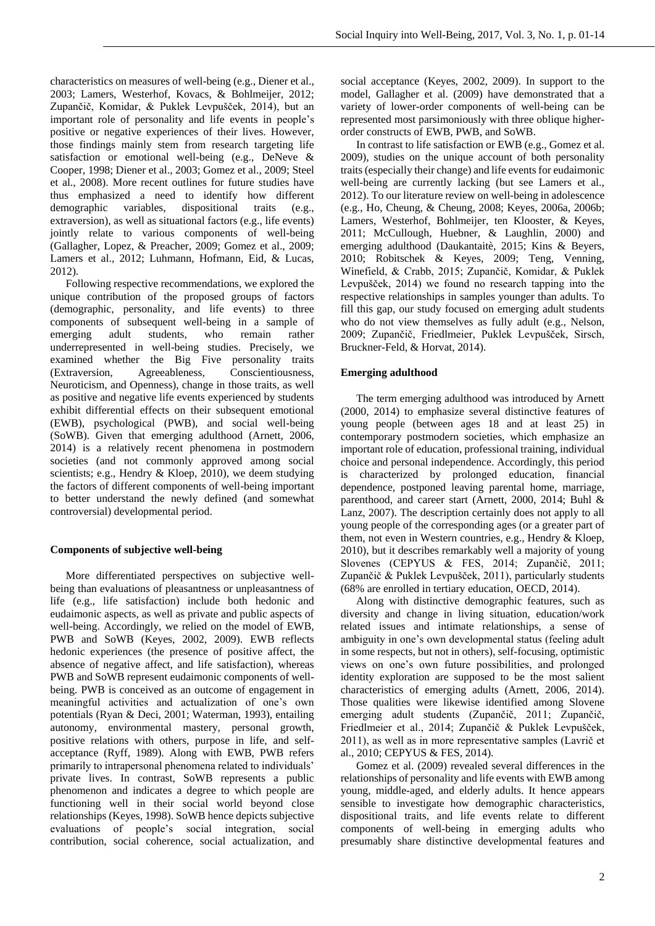characteristics on measures of well-being (e.g., Diener et al., 2003; Lamers, Westerhof, Kovacs, & Bohlmeijer, 2012; Zupančič, Komidar, & Puklek Levpušček, 2014), but an important role of personality and life events in people's positive or negative experiences of their lives. However, those findings mainly stem from research targeting life satisfaction or emotional well-being (e.g., DeNeve & Cooper, 1998; Diener et al., 2003; Gomez et al., 2009; Steel et al., 2008). More recent outlines for future studies have thus emphasized a need to identify how different demographic variables, dispositional traits (e.g., extraversion), as well as situational factors (e.g., life events) jointly relate to various components of well-being (Gallagher, Lopez, & Preacher, 2009; Gomez et al., 2009; Lamers et al., 2012; Luhmann, Hofmann, Eid, & Lucas, 2012).

Following respective recommendations, we explored the unique contribution of the proposed groups of factors (demographic, personality, and life events) to three components of subsequent well-being in a sample of emerging adult students, who remain rather underrepresented in well-being studies. Precisely, we examined whether the Big Five personality traits (Extraversion, Agreeableness, Conscientiousness, Neuroticism, and Openness), change in those traits, as well as positive and negative life events experienced by students exhibit differential effects on their subsequent emotional (EWB), psychological (PWB), and social well-being (SoWB). Given that emerging adulthood (Arnett, 2006, 2014) is a relatively recent phenomena in postmodern societies (and not commonly approved among social scientists; e.g., Hendry & Kloep, 2010), we deem studying the factors of different components of well-being important to better understand the newly defined (and somewhat controversial) developmental period.

# **Components of subjective well-being**

More differentiated perspectives on subjective wellbeing than evaluations of pleasantness or unpleasantness of life (e.g., life satisfaction) include both hedonic and eudaimonic aspects, as well as private and public aspects of well-being. Accordingly, we relied on the model of EWB, PWB and SoWB (Keyes, 2002, 2009). EWB reflects hedonic experiences (the presence of positive affect, the absence of negative affect, and life satisfaction), whereas PWB and SoWB represent eudaimonic components of wellbeing. PWB is conceived as an outcome of engagement in meaningful activities and actualization of one's own potentials (Ryan & Deci, 2001; Waterman, 1993), entailing autonomy, environmental mastery, personal growth, positive relations with others, purpose in life, and selfacceptance (Ryff, 1989). Along with EWB, PWB refers primarily to intrapersonal phenomena related to individuals' private lives. In contrast, SoWB represents a public phenomenon and indicates a degree to which people are functioning well in their social world beyond close relationships (Keyes, 1998). SoWB hence depicts subjective evaluations of people's social integration, social contribution, social coherence, social actualization, and

social acceptance (Keyes, 2002, 2009). In support to the model, Gallagher et al. (2009) have demonstrated that a variety of lower-order components of well-being can be represented most parsimoniously with three oblique higherorder constructs of EWB, PWB, and SoWB.

In contrast to life satisfaction or EWB (e.g., Gomez et al. 2009), studies on the unique account of both personality traits (especially their change) and life events for eudaimonic well-being are currently lacking (but see Lamers et al., 2012). To our literature review on well-being in adolescence (e.g., Ho, Cheung, & Cheung, 2008; Keyes, 2006a, 2006b; Lamers, Westerhof, Bohlmeijer, ten Klooster, & Keyes, 2011; McCullough, Huebner, & Laughlin, 2000) and emerging adulthood (Daukantaitè, 2015; Kins & Beyers, 2010; Robitschek & Keyes, 2009; Teng, Venning, Winefield, & Crabb, 2015; Zupančič, Komidar, & Puklek Levpušček, 2014) we found no research tapping into the respective relationships in samples younger than adults. To fill this gap, our study focused on emerging adult students who do not view themselves as fully adult (e.g., Nelson, 2009; Zupančič, Friedlmeier, Puklek Levpušček, Sirsch, Bruckner-Feld, & Horvat, 2014).

# **Emerging adulthood**

The term emerging adulthood was introduced by Arnett (2000, 2014) to emphasize several distinctive features of young people (between ages 18 and at least 25) in contemporary postmodern societies, which emphasize an important role of education, professional training, individual choice and personal independence. Accordingly, this period is characterized by prolonged education, financial dependence, postponed leaving parental home, marriage, parenthood, and career start (Arnett, 2000, 2014; Buhl & Lanz, 2007). The description certainly does not apply to all young people of the corresponding ages (or a greater part of them, not even in Western countries, e.g., Hendry & Kloep, 2010), but it describes remarkably well a majority of young Slovenes (CEPYUS & FES, 2014; Zupančič, 2011; Zupančič & Puklek Levpušček, 2011), particularly students (68% are enrolled in tertiary education, OECD, 2014).

Along with distinctive demographic features, such as diversity and change in living situation, education/work related issues and intimate relationships, a sense of ambiguity in one's own developmental status (feeling adult in some respects, but not in others), self-focusing, optimistic views on one's own future possibilities, and prolonged identity exploration are supposed to be the most salient characteristics of emerging adults (Arnett, 2006, 2014). Those qualities were likewise identified among Slovene emerging adult students (Zupančič, 2011; Zupančič, Friedlmeier et al., 2014; Zupančič & Puklek Levpušček, 2011), as well as in more representative samples (Lavrič et al., 2010; CEPYUS & FES, 2014).

Gomez et al. (2009) revealed several differences in the relationships of personality and life events with EWB among young, middle-aged, and elderly adults. It hence appears sensible to investigate how demographic characteristics, dispositional traits, and life events relate to different components of well-being in emerging adults who presumably share distinctive developmental features and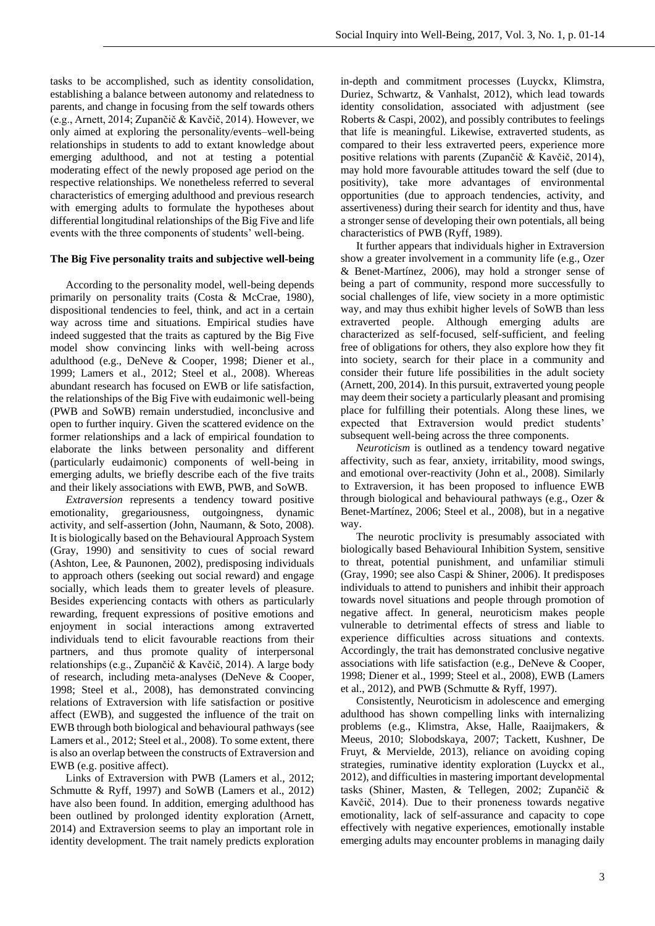tasks to be accomplished, such as identity consolidation, establishing a balance between autonomy and relatedness to parents, and change in focusing from the self towards others (e.g., Arnett, 2014; Zupančič & Kavčič, 2014). However, we only aimed at exploring the personality/events–well-being relationships in students to add to extant knowledge about emerging adulthood, and not at testing a potential moderating effect of the newly proposed age period on the respective relationships. We nonetheless referred to several characteristics of emerging adulthood and previous research with emerging adults to formulate the hypotheses about differential longitudinal relationships of the Big Five and life events with the three components of students' well-being.

# **The Big Five personality traits and subjective well-being**

According to the personality model, well-being depends primarily on personality traits (Costa & McCrae, 1980), dispositional tendencies to feel, think, and act in a certain way across time and situations. Empirical studies have indeed suggested that the traits as captured by the Big Five model show convincing links with well-being across adulthood (e.g., DeNeve & Cooper, 1998; Diener et al., 1999; Lamers et al., 2012; Steel et al., 2008). Whereas abundant research has focused on EWB or life satisfaction, the relationships of the Big Five with eudaimonic well-being (PWB and SoWB) remain understudied, inconclusive and open to further inquiry. Given the scattered evidence on the former relationships and a lack of empirical foundation to elaborate the links between personality and different (particularly eudaimonic) components of well-being in emerging adults, we briefly describe each of the five traits and their likely associations with EWB, PWB, and SoWB.

*Extraversion* represents a tendency toward positive emotionality, gregariousness, outgoingness, dynamic activity, and self-assertion (John, Naumann, & Soto, 2008). It is biologically based on the Behavioural Approach System (Gray, 1990) and sensitivity to cues of social reward (Ashton, Lee, & Paunonen, 2002), predisposing individuals to approach others (seeking out social reward) and engage socially, which leads them to greater levels of pleasure. Besides experiencing contacts with others as particularly rewarding, frequent expressions of positive emotions and enjoyment in social interactions among extraverted individuals tend to elicit favourable reactions from their partners, and thus promote quality of interpersonal relationships (e.g., Zupančič & Kavčič, 2014). A large body of research, including meta-analyses (DeNeve & Cooper, 1998; Steel et al., 2008), has demonstrated convincing relations of Extraversion with life satisfaction or positive affect (EWB), and suggested the influence of the trait on EWB through both biological and behavioural pathways (see Lamers et al., 2012; Steel et al., 2008). To some extent, there is also an overlap between the constructs of Extraversion and EWB (e.g. positive affect).

Links of Extraversion with PWB (Lamers et al., 2012; Schmutte & Ryff, 1997) and SoWB (Lamers et al., 2012) have also been found. In addition, emerging adulthood has been outlined by prolonged identity exploration (Arnett, 2014) and Extraversion seems to play an important role in identity development. The trait namely predicts exploration in-depth and commitment processes (Luyckx, Klimstra, Duriez, Schwartz, & Vanhalst, 2012), which lead towards identity consolidation, associated with adjustment (see Roberts & Caspi, 2002), and possibly contributes to feelings that life is meaningful. Likewise, extraverted students, as compared to their less extraverted peers, experience more positive relations with parents (Zupančič & Kavčič, 2014), may hold more favourable attitudes toward the self (due to positivity), take more advantages of environmental opportunities (due to approach tendencies, activity, and assertiveness) during their search for identity and thus, have a stronger sense of developing their own potentials, all being characteristics of PWB (Ryff, 1989).

It further appears that individuals higher in Extraversion show a greater involvement in a community life (e.g., Ozer & Benet-Martínez, 2006), may hold a stronger sense of being a part of community, respond more successfully to social challenges of life, view society in a more optimistic way, and may thus exhibit higher levels of SoWB than less extraverted people. Although emerging adults are characterized as self-focused, self-sufficient, and feeling free of obligations for others, they also explore how they fit into society, search for their place in a community and consider their future life possibilities in the adult society (Arnett, 200, 2014). In this pursuit, extraverted young people may deem their society a particularly pleasant and promising place for fulfilling their potentials. Along these lines, we expected that Extraversion would predict students' subsequent well-being across the three components.

*Neuroticism* is outlined as a tendency toward negative affectivity, such as fear, anxiety, irritability, mood swings, and emotional over-reactivity (John et al., 2008). Similarly to Extraversion, it has been proposed to influence EWB through biological and behavioural pathways (e.g., Ozer & Benet-Martínez, 2006; Steel et al., 2008), but in a negative way.

The neurotic proclivity is presumably associated with biologically based Behavioural Inhibition System, sensitive to threat, potential punishment, and unfamiliar stimuli (Gray, 1990; see also Caspi & Shiner, 2006). It predisposes individuals to attend to punishers and inhibit their approach towards novel situations and people through promotion of negative affect. In general, neuroticism makes people vulnerable to detrimental effects of stress and liable to experience difficulties across situations and contexts. Accordingly, the trait has demonstrated conclusive negative associations with life satisfaction (e.g., DeNeve & Cooper, 1998; Diener et al., 1999; Steel et al., 2008), EWB (Lamers et al., 2012), and PWB (Schmutte & Ryff, 1997).

Consistently, Neuroticism in adolescence and emerging adulthood has shown compelling links with internalizing problems (e.g., Klimstra, Akse, Halle, Raaijmakers, & Meeus, 2010; Slobodskaya, 2007; Tackett, Kushner, De Fruyt, & Mervielde, 2013), reliance on avoiding coping strategies, ruminative identity exploration (Luyckx et al., 2012), and difficulties in mastering important developmental tasks (Shiner, Masten, & Tellegen, 2002; Zupančič & Kavčič, 2014). Due to their proneness towards negative emotionality, lack of self-assurance and capacity to cope effectively with negative experiences, emotionally instable emerging adults may encounter problems in managing daily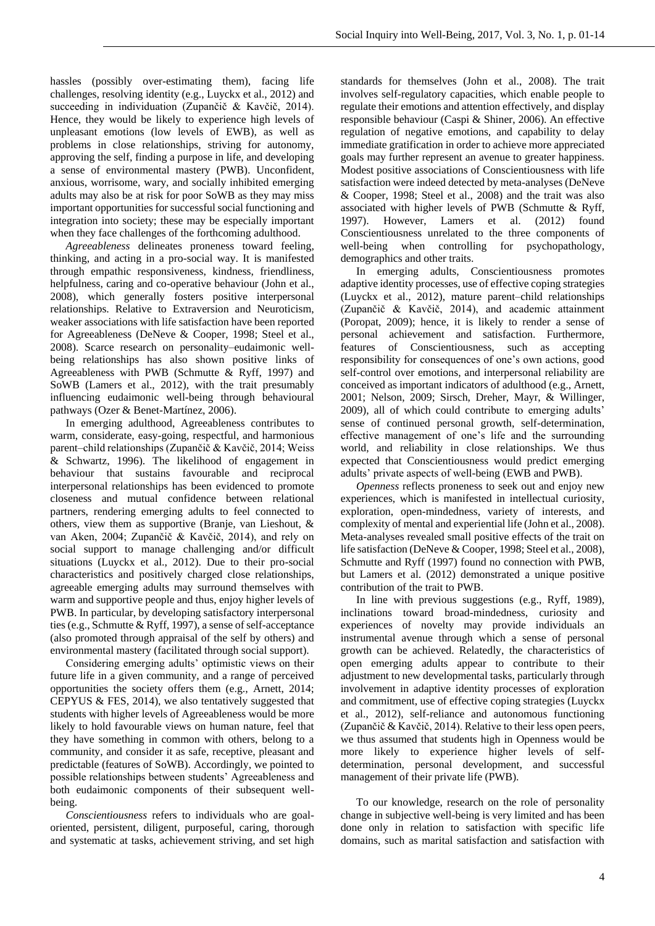hassles (possibly over-estimating them), facing life challenges, resolving identity (e.g., Luyckx et al., 2012) and succeeding in individuation (Zupančič & Kavčič, 2014). Hence, they would be likely to experience high levels of unpleasant emotions (low levels of EWB), as well as problems in close relationships, striving for autonomy, approving the self, finding a purpose in life, and developing a sense of environmental mastery (PWB). Unconfident, anxious, worrisome, wary, and socially inhibited emerging adults may also be at risk for poor SoWB as they may miss important opportunities for successful social functioning and integration into society; these may be especially important when they face challenges of the forthcoming adulthood.

*Agreeableness* delineates proneness toward feeling, thinking, and acting in a pro-social way. It is manifested through empathic responsiveness, kindness, friendliness, helpfulness, caring and co-operative behaviour (John et al., 2008), which generally fosters positive interpersonal relationships. Relative to Extraversion and Neuroticism, weaker associations with life satisfaction have been reported for Agreeableness (DeNeve & Cooper, 1998; Steel et al., 2008). Scarce research on personality–eudaimonic wellbeing relationships has also shown positive links of Agreeableness with PWB (Schmutte & Ryff, 1997) and SoWB (Lamers et al., 2012), with the trait presumably influencing eudaimonic well-being through behavioural pathways (Ozer & Benet-Martínez, 2006).

In emerging adulthood, Agreeableness contributes to warm, considerate, easy-going, respectful, and harmonious parent–child relationships (Zupančič & Kavčič, 2014; Weiss & Schwartz, 1996). The likelihood of engagement in behaviour that sustains favourable and reciprocal interpersonal relationships has been evidenced to promote closeness and mutual confidence between relational partners, rendering emerging adults to feel connected to others, view them as supportive (Branje, van Lieshout, & van Aken, 2004; Zupančič & Kavčič, 2014), and rely on social support to manage challenging and/or difficult situations (Luyckx et al., 2012). Due to their pro-social characteristics and positively charged close relationships, agreeable emerging adults may surround themselves with warm and supportive people and thus, enjoy higher levels of PWB. In particular, by developing satisfactory interpersonal ties (e.g., Schmutte & Ryff, 1997), a sense of self-acceptance (also promoted through appraisal of the self by others) and environmental mastery (facilitated through social support).

Considering emerging adults' optimistic views on their future life in a given community, and a range of perceived opportunities the society offers them (e.g., Arnett, 2014; CEPYUS & FES, 2014), we also tentatively suggested that students with higher levels of Agreeableness would be more likely to hold favourable views on human nature, feel that they have something in common with others, belong to a community, and consider it as safe, receptive, pleasant and predictable (features of SoWB). Accordingly, we pointed to possible relationships between students' Agreeableness and both eudaimonic components of their subsequent wellbeing.

*Conscientiousness* refers to individuals who are goaloriented, persistent, diligent, purposeful, caring, thorough and systematic at tasks, achievement striving, and set high standards for themselves (John et al., 2008). The trait involves self-regulatory capacities, which enable people to regulate their emotions and attention effectively, and display responsible behaviour (Caspi & Shiner, 2006). An effective regulation of negative emotions, and capability to delay immediate gratification in order to achieve more appreciated goals may further represent an avenue to greater happiness. Modest positive associations of Conscientiousness with life satisfaction were indeed detected by meta-analyses (DeNeve & Cooper, 1998; Steel et al., 2008) and the trait was also associated with higher levels of PWB (Schmutte & Ryff, 1997). However, Lamers et al. (2012) found Conscientiousness unrelated to the three components of well-being when controlling for psychopathology, demographics and other traits.

In emerging adults, Conscientiousness promotes adaptive identity processes, use of effective coping strategies (Luyckx et al., 2012), mature parent*–*child relationships (Zupančič & Kavčič, 2014), and academic attainment (Poropat, 2009); hence, it is likely to render a sense of personal achievement and satisfaction. Furthermore, features of Conscientiousness, such as accepting responsibility for consequences of one's own actions, good self-control over emotions, and interpersonal reliability are conceived as important indicators of adulthood (e.g., Arnett, 2001; Nelson, 2009; Sirsch, Dreher, Mayr, & Willinger, 2009), all of which could contribute to emerging adults' sense of continued personal growth, self-determination, effective management of one's life and the surrounding world, and reliability in close relationships. We thus expected that Conscientiousness would predict emerging adults' private aspects of well-being (EWB and PWB).

*Openness* reflects proneness to seek out and enjoy new experiences, which is manifested in intellectual curiosity, exploration, open-mindedness, variety of interests, and complexity of mental and experiential life (John et al., 2008). Meta-analyses revealed small positive effects of the trait on life satisfaction (DeNeve & Cooper, 1998; Steel et al., 2008), Schmutte and Ryff (1997) found no connection with PWB, but Lamers et al. (2012) demonstrated a unique positive contribution of the trait to PWB.

In line with previous suggestions (e.g., Ryff, 1989), inclinations toward broad-mindedness, curiosity and experiences of novelty may provide individuals an instrumental avenue through which a sense of personal growth can be achieved. Relatedly, the characteristics of open emerging adults appear to contribute to their adjustment to new developmental tasks, particularly through involvement in adaptive identity processes of exploration and commitment, use of effective coping strategies (Luyckx et al., 2012), self-reliance and autonomous functioning (Zupančič & Kavčič, 2014). Relative to their less open peers, we thus assumed that students high in Openness would be more likely to experience higher levels of selfdetermination, personal development, and successful management of their private life (PWB).

To our knowledge, research on the role of personality change in subjective well-being is very limited and has been done only in relation to satisfaction with specific life domains, such as marital satisfaction and satisfaction with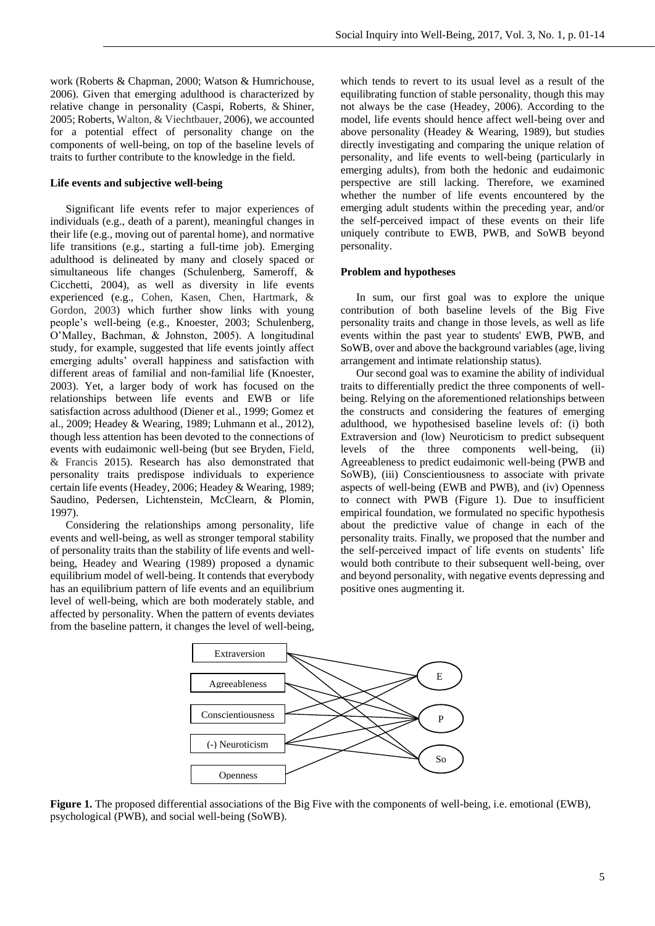work (Roberts & Chapman, 2000; Watson & Humrichouse, 2006). Given that emerging adulthood is characterized by relative change in personality (Caspi, Roberts, & Shiner, 2005; Roberts, Walton, & Viechtbauer, 2006), we accounted for a potential effect of personality change on the components of well-being, on top of the baseline levels of traits to further contribute to the knowledge in the field.

# **Life events and subjective well-being**

Significant life events refer to major experiences of individuals (e.g., death of a parent), meaningful changes in their life (e.g., moving out of parental home), and normative life transitions (e.g., starting a full-time job). Emerging adulthood is delineated by many and closely spaced or simultaneous life changes (Schulenberg, Sameroff, & Cicchetti, 2004), as well as diversity in life events experienced (e.g., Cohen, Kasen, Chen, Hartmark, & Gordon, 2003) which further show links with young people's well-being (e.g., Knoester, 2003; Schulenberg, O'Malley, Bachman, & Johnston, 2005). A longitudinal study, for example, suggested that life events jointly affect emerging adults' overall happiness and satisfaction with different areas of familial and non-familial life (Knoester, 2003). Yet, a larger body of work has focused on the relationships between life events and EWB or life satisfaction across adulthood (Diener et al., 1999; Gomez et al., 2009; Headey & Wearing, 1989; Luhmann et al., 2012), though less attention has been devoted to the connections of events with eudaimonic well-being (but see Bryden, Field, & Francis 2015). Research has also demonstrated that personality traits predispose individuals to experience certain life events (Headey, 2006; Headey & Wearing, 1989; Saudino, Pedersen, Lichtenstein, McClearn, & Plomin, 1997).

Considering the relationships among personality, life events and well-being, as well as stronger temporal stability of personality traits than the stability of life events and wellbeing, Headey and Wearing (1989) proposed a dynamic equilibrium model of well-being. It contends that everybody has an equilibrium pattern of life events and an equilibrium level of well-being, which are both moderately stable, and affected by personality. When the pattern of events deviates from the baseline pattern, it changes the level of well-being,

which tends to revert to its usual level as a result of the equilibrating function of stable personality, though this may not always be the case (Headey, 2006). According to the model, life events should hence affect well-being over and above personality (Headey & Wearing, 1989), but studies directly investigating and comparing the unique relation of personality, and life events to well-being (particularly in emerging adults), from both the hedonic and eudaimonic perspective are still lacking. Therefore, we examined whether the number of life events encountered by the emerging adult students within the preceding year, and/or the self-perceived impact of these events on their life uniquely contribute to EWB, PWB, and SoWB beyond personality.

# **Problem and hypotheses**

In sum, our first goal was to explore the unique contribution of both baseline levels of the Big Five personality traits and change in those levels, as well as life events within the past year to students' EWB, PWB, and SoWB, over and above the background variables (age, living arrangement and intimate relationship status).

Our second goal was to examine the ability of individual traits to differentially predict the three components of wellbeing. Relying on the aforementioned relationships between the constructs and considering the features of emerging adulthood, we hypothesised baseline levels of: (i) both Extraversion and (low) Neuroticism to predict subsequent levels of the three components well-being, (ii) Agreeableness to predict eudaimonic well-being (PWB and SoWB), (iii) Conscientiousness to associate with private aspects of well-being (EWB and PWB), and (iv) Openness to connect with PWB (Figure 1). Due to insufficient empirical foundation, we formulated no specific hypothesis about the predictive value of change in each of the personality traits. Finally, we proposed that the number and the self-perceived impact of life events on students' life would both contribute to their subsequent well-being, over and beyond personality, with negative events depressing and positive ones augmenting it.



**Figure 1.** The proposed differential associations of the Big Five with the components of well-being, i.e. emotional (EWB), psychological (PWB), and social well-being (SoWB).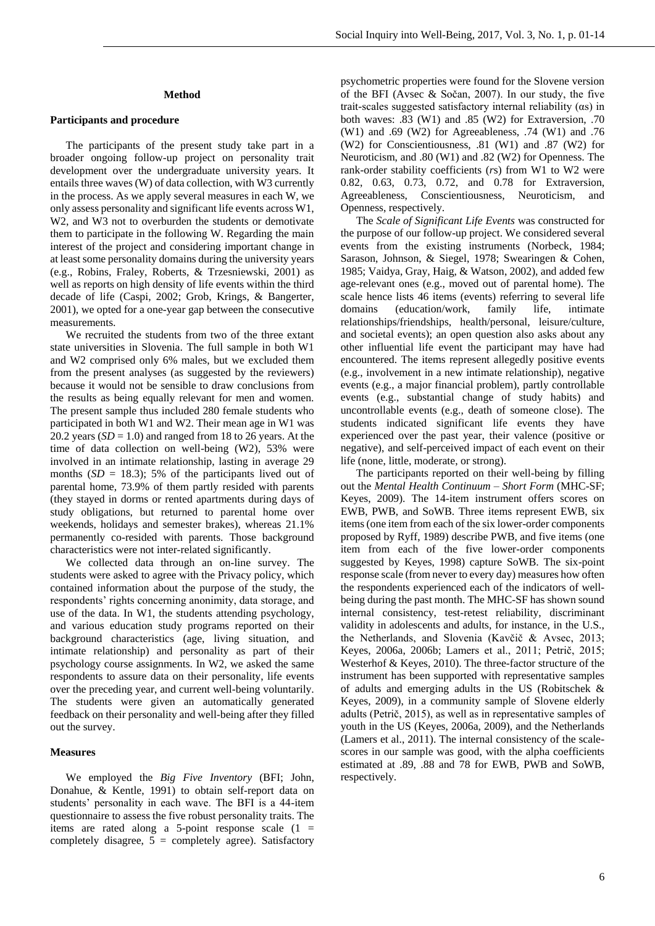# **Method**

#### **Participants and procedure**

The participants of the present study take part in a broader ongoing follow-up project on personality trait development over the undergraduate university years. It entails three waves (W) of data collection, with W3 currently in the process. As we apply several measures in each W, we only assess personality and significant life events across W1, W2, and W3 not to overburden the students or demotivate them to participate in the following W. Regarding the main interest of the project and considering important change in at least some personality domains during the university years (e.g., Robins, Fraley, Roberts, & Trzesniewski, 2001) as well as reports on high density of life events within the third decade of life (Caspi, 2002; Grob, Krings, & Bangerter, 2001), we opted for a one-year gap between the consecutive measurements.

We recruited the students from two of the three extant state universities in Slovenia. The full sample in both W1 and W2 comprised only 6% males, but we excluded them from the present analyses (as suggested by the reviewers) because it would not be sensible to draw conclusions from the results as being equally relevant for men and women. The present sample thus included 280 female students who participated in both W1 and W2. Their mean age in W1 was 20.2 years  $(SD = 1.0)$  and ranged from 18 to 26 years. At the time of data collection on well-being (W2), 53% were involved in an intimate relationship, lasting in average 29 months  $(SD = 18.3)$ ; 5% of the participants lived out of parental home, 73.9% of them partly resided with parents (they stayed in dorms or rented apartments during days of study obligations, but returned to parental home over weekends, holidays and semester brakes), whereas 21.1% permanently co-resided with parents. Those background characteristics were not inter-related significantly.

We collected data through an on-line survey. The students were asked to agree with the Privacy policy, which contained information about the purpose of the study, the respondents' rights concerning anonimity, data storage, and use of the data. In W1, the students attending psychology, and various education study programs reported on their background characteristics (age, living situation, and intimate relationship) and personality as part of their psychology course assignments. In W2, we asked the same respondents to assure data on their personality, life events over the preceding year, and current well-being voluntarily. The students were given an automatically generated feedback on their personality and well-being after they filled out the survey.

## **Measures**

We employed the *Big Five Inventory* (BFI; John, Donahue, & Kentle, 1991) to obtain self-report data on students' personality in each wave. The BFI is a 44-item questionnaire to assess the five robust personality traits. The items are rated along a 5-point response scale  $(1 =$ completely disagree,  $5 =$  completely agree). Satisfactory

psychometric properties were found for the Slovene version of the BFI (Avsec & Sočan, 2007). In our study, the five trait-scales suggested satisfactory internal reliability (αs) in both waves: .83 (W1) and .85 (W2) for Extraversion, .70 (W1) and .69 (W2) for Agreeableness, .74 (W1) and .76 (W2) for Conscientiousness, .81 (W1) and .87 (W2) for Neuroticism, and .80 (W1) and .82 (W2) for Openness. The rank-order stability coefficients (*r*s) from W1 to W2 were 0.82, 0.63, 0.73, 0.72, and 0.78 for Extraversion, Agreeableness, Conscientiousness, Neuroticism, and Openness, respectively.

The *Scale of Significant Life Events* was constructed for the purpose of our follow-up project. We considered several events from the existing instruments (Norbeck, 1984; Sarason, Johnson, & Siegel, 1978; Swearingen & Cohen, 1985; Vaidya, Gray, Haig, & Watson, 2002), and added few age-relevant ones (e.g., moved out of parental home). The scale hence lists 46 items (events) referring to several life domains (education/work, family life, intimate relationships/friendships, health/personal, leisure/culture, and societal events); an open question also asks about any other influential life event the participant may have had encountered. The items represent allegedly positive events (e.g., involvement in a new intimate relationship), negative events (e.g., a major financial problem), partly controllable events (e.g., substantial change of study habits) and uncontrollable events (e.g., death of someone close). The students indicated significant life events they have experienced over the past year, their valence (positive or negative), and self-perceived impact of each event on their life (none, little, moderate, or strong).

The participants reported on their well-being by filling out the *Mental Health Continuum – Short Form* (MHC-SF; Keyes, 2009). The 14-item instrument offers scores on EWB, PWB, and SoWB. Three items represent EWB, six items (one item from each of the six lower-order components proposed by Ryff, 1989) describe PWB, and five items (one item from each of the five lower-order components suggested by Keyes, 1998) capture SoWB. The six-point response scale (from never to every day) measures how often the respondents experienced each of the indicators of wellbeing during the past month. The MHC-SF has shown sound internal consistency, test-retest reliability, discriminant validity in adolescents and adults, for instance, in the U.S., the Netherlands, and Slovenia (Kavčič & Avsec, 2013; Keyes, 2006a, 2006b; Lamers et al., 2011; Petrič, 2015; Westerhof & Keyes, 2010). The three-factor structure of the instrument has been supported with representative samples of adults and emerging adults in the US (Robitschek & Keyes, 2009), in a community sample of Slovene elderly adults (Petrič, 2015), as well as in representative samples of youth in the US (Keyes, 2006a, 2009), and the Netherlands (Lamers et al., 2011). The internal consistency of the scalescores in our sample was good, with the alpha coefficients estimated at .89, .88 and 78 for EWB, PWB and SoWB, respectively.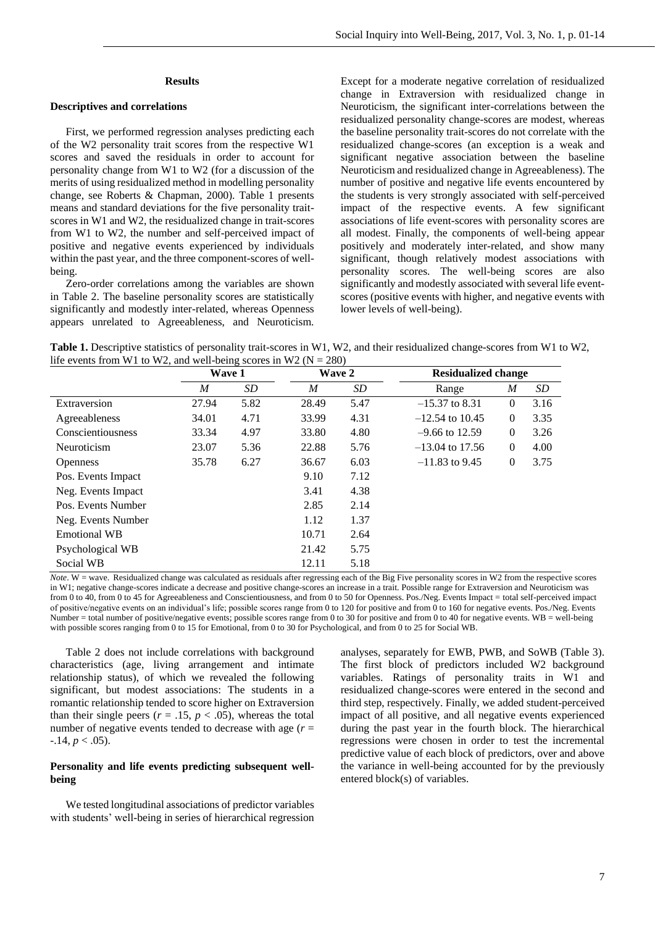#### **Results**

# **Descriptives and correlations**

First, we performed regression analyses predicting each of the W2 personality trait scores from the respective W1 scores and saved the residuals in order to account for personality change from W1 to W2 (for a discussion of the merits of using residualized method in modelling personality change, see Roberts & Chapman, 2000). Table 1 presents means and standard deviations for the five personality traitscores in W1 and W2, the residualized change in trait-scores from W1 to W2, the number and self-perceived impact of positive and negative events experienced by individuals within the past year, and the three component-scores of wellbeing.

Zero-order correlations among the variables are shown in Table 2. The baseline personality scores are statistically significantly and modestly inter-related, whereas Openness appears unrelated to Agreeableness, and Neuroticism.

Except for a moderate negative correlation of residualized change in Extraversion with residualized change in Neuroticism, the significant inter-correlations between the residualized personality change-scores are modest, whereas the baseline personality trait-scores do not correlate with the residualized change-scores (an exception is a weak and significant negative association between the baseline Neuroticism and residualized change in Agreeableness). The number of positive and negative life events encountered by the students is very strongly associated with self-perceived impact of the respective events. A few significant associations of life event-scores with personality scores are all modest. Finally, the components of well-being appear positively and moderately inter-related, and show many significant, though relatively modest associations with personality scores. The well-being scores are also significantly and modestly associated with several life eventscores (positive events with higher, and negative events with lower levels of well-being).

**Table 1.** Descriptive statistics of personality trait-scores in W1, W2, and their residualized change-scores from W1 to W2, life events from W1 to W2, and well-being scores in W2 ( $N = 280$ )

|                     | Wave 1 |                 |       | Wave 2<br><b>Residualized change</b> |                   |              |      |  |  |
|---------------------|--------|-----------------|-------|--------------------------------------|-------------------|--------------|------|--|--|
|                     | M      | SD <sub>-</sub> | M     | SD <sub>-</sub>                      | Range             | M            | SD   |  |  |
| Extraversion        | 27.94  | 5.82            | 28.49 | 5.47                                 | $-15.37$ to 8.31  | $\Omega$     | 3.16 |  |  |
| Agreeableness       | 34.01  | 4.71            | 33.99 | 4.31                                 | $-12.54$ to 10.45 | $\Omega$     | 3.35 |  |  |
| Conscientiousness   | 33.34  | 4.97            | 33.80 | 4.80                                 | $-9.66$ to 12.59  | $\Omega$     | 3.26 |  |  |
| Neuroticism         | 23.07  | 5.36            | 22.88 | 5.76                                 | $-13.04$ to 17.56 | $\Omega$     | 4.00 |  |  |
| <b>Openness</b>     | 35.78  | 6.27            | 36.67 | 6.03                                 | $-11.83$ to 9.45  | $\mathbf{0}$ | 3.75 |  |  |
| Pos. Events Impact  |        |                 | 9.10  | 7.12                                 |                   |              |      |  |  |
| Neg. Events Impact  |        |                 | 3.41  | 4.38                                 |                   |              |      |  |  |
| Pos. Events Number  |        |                 | 2.85  | 2.14                                 |                   |              |      |  |  |
| Neg. Events Number  |        |                 | 1.12  | 1.37                                 |                   |              |      |  |  |
| <b>Emotional WB</b> |        |                 | 10.71 | 2.64                                 |                   |              |      |  |  |
| Psychological WB    |        |                 | 21.42 | 5.75                                 |                   |              |      |  |  |
| Social WB           |        |                 | 12.11 | 5.18                                 |                   |              |      |  |  |

*Note*. W = wave. Residualized change was calculated as residuals after regressing each of the Big Five personality scores in W2 from the respective scores in W1; negative change-scores indicate a decrease and positive change-scores an increase in a trait. Possible range for Extraversion and Neuroticism was from 0 to 40, from 0 to 45 for Agreeableness and Conscientiousness, and from 0 to 50 for Openness. Pos./Neg. Events Impact = total self-perceived impact of positive/negative events on an individual's life; possible scores range from 0 to 120 for positive and from 0 to 160 for negative events. Pos./Neg. Events Number = total number of positive/negative events; possible scores range from 0 to 30 for positive and from 0 to 40 for negative events. WB = well-being with possible scores ranging from 0 to 15 for Emotional, from 0 to 30 for Psychological, and from 0 to 25 for Social WB.

Table 2 does not include correlations with background characteristics (age, living arrangement and intimate relationship status), of which we revealed the following significant, but modest associations: The students in a romantic relationship tended to score higher on Extraversion than their single peers ( $r = .15$ ,  $p < .05$ ), whereas the total number of negative events tended to decrease with age  $(r =$  $-.14, p < .05$ ).

# **Personality and life events predicting subsequent wellbeing**

We tested longitudinal associations of predictor variables with students' well-being in series of hierarchical regression

analyses, separately for EWB, PWB, and SoWB (Table 3). The first block of predictors included W2 background variables. Ratings of personality traits in W1 and residualized change-scores were entered in the second and third step, respectively. Finally, we added student-perceived impact of all positive, and all negative events experienced during the past year in the fourth block. The hierarchical regressions were chosen in order to test the incremental predictive value of each block of predictors, over and above the variance in well-being accounted for by the previously entered block(s) of variables.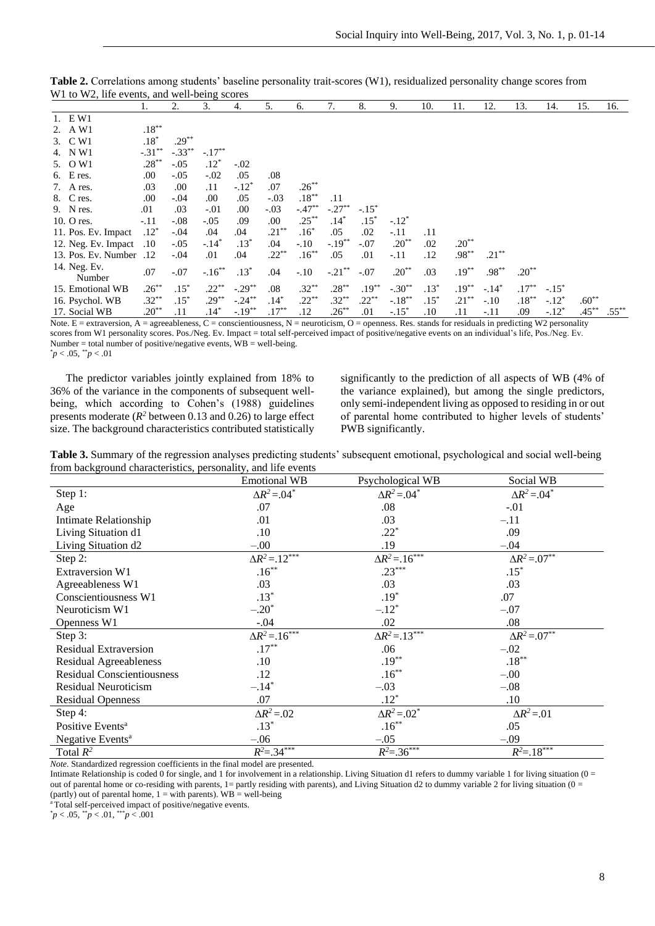| $W_1$ to $W_2$ , the events, and wen-being scores |                  |          |           |           |          |          |            |          |           |        |          |          |          |         |          |          |
|---------------------------------------------------|------------------|----------|-----------|-----------|----------|----------|------------|----------|-----------|--------|----------|----------|----------|---------|----------|----------|
|                                                   | l.               | 2.       | 3.        | 4.        | 5.       | 6.       | 7.         | 8.       | 9.        | 10.    | 11.      | 12.      | 13.      | 14.     | 15.      | 16.      |
| 1. EW1                                            |                  |          |           |           |          |          |            |          |           |        |          |          |          |         |          |          |
| 2. A W1                                           | $.18***$         |          |           |           |          |          |            |          |           |        |          |          |          |         |          |          |
| 3. C W1                                           | $.18*$           | $.29***$ |           |           |          |          |            |          |           |        |          |          |          |         |          |          |
| 4. N W1                                           | $-.31***$        | $-.33**$ | $-.17***$ |           |          |          |            |          |           |        |          |          |          |         |          |          |
| 5. O W1                                           | $.28***$         | $-.05$   | $.12*$    | $-.02$    |          |          |            |          |           |        |          |          |          |         |          |          |
| $6.$ E res.                                       | .00              | $-.05$   | $-.02$    | .05       | .08      |          |            |          |           |        |          |          |          |         |          |          |
| 7. A res.                                         | .03              | .00.     | .11       | $-.12*$   | .07      | $.26***$ |            |          |           |        |          |          |          |         |          |          |
| 8. Cres.                                          | .00              | $-.04$   | .00       | .05       | $-.03$   | $.18***$ | .11        |          |           |        |          |          |          |         |          |          |
| 9. N res.                                         | .01              | .03      | $-.01$    | .00.      | $-.03$   | $-.47**$ | $-.27***$  | $-.15*$  |           |        |          |          |          |         |          |          |
| 10. O res.                                        | $-.11$           | $-.08$   | $-.05$    | .09       | .00      | $.25***$ | $.14*$     | $.15*$   | $-.12*$   |        |          |          |          |         |          |          |
| 11. Pos. Ev. Impact                               | $.12*$           | $-.04$   | .04       | .04       | $.21***$ | $.16^*$  | .05        | .02      | $-.11$    | .11    |          |          |          |         |          |          |
| 12. Neg. Ev. Impact                               | $.10\,$          | $-.05$   | $-.14*$   | $.13*$    | .04      | $-.10$   | $-.19***$  | $-.07$   | $.20**$   | .02    | $.20**$  |          |          |         |          |          |
| 13. Pos. Ev. Number .12                           |                  | $-.04$   | .01       | .04       | $.22***$ | $.16***$ | .05        | .01      | $-.11$    | .12    | $.98***$ | $.21***$ |          |         |          |          |
| 14. Neg. Ev.<br>Number                            | .07              | $-.07$   | $-.16***$ | $.13*$    | .04      | $-.10$   | $-.21***$  | $-.07$   | $.20***$  | .03    | $.19***$ | $.98***$ | $.20***$ |         |          |          |
| 15. Emotional WB                                  | $.26***$         | $.15*$   | $.22***$  | $-.29**$  | .08      | $.32***$ | $.28***$   | $.19***$ | $-.30**$  | $.13*$ | $.19***$ | $-.14*$  | $.17***$ | $-.15*$ |          |          |
| 16. Psychol. WB                                   | $.32***$         | $.15*$   | $.29***$  | $-.24***$ | $.14*$   | $.22***$ | $.32***$   | $.22***$ | $-.18***$ | $.15*$ | $.21***$ | $-.10$   | $.18***$ | $-.12*$ | $.60***$ |          |
| 17. Social WB                                     | $.20^{\ast\ast}$ | .11      | $.14^*$   | $-.19**$  | $.17***$ | .12      | $.26^{**}$ | .01      | $-.15*$   | .10    | .11      | -.11     | .09      | $-.12*$ | $.45***$ | $.55***$ |

**Table 2.** Correlations among students' baseline personality trait-scores (W1), residualized personality change scores from  $W1$  to  $W2$ , life events, and well-being

Note. E = extraversion, A = agreeableness, C = conscientiousness, N = neuroticism, O = openness. Res. stands for residuals in predicting W2 personality scores from W1 personality scores. Pos./Neg. Ev. Impact = total self-perceived impact of positive/negative events on an individual's life, Pos./Neg. Ev. Number = total number of positive/negative events,  $\overrightarrow{WB}$  = well-being.  $p < .05,$   $\degree p < .01$ 

The predictor variables jointly explained from 18% to 36% of the variance in the components of subsequent wellbeing, which according to Cohen's (1988) guidelines presents moderate  $(R^2$  between 0.13 and 0.26) to large effect size. The background characteristics contributed statistically

significantly to the prediction of all aspects of WB (4% of the variance explained), but among the single predictors, only semi-independent living as opposed to residing in or out of parental home contributed to higher levels of students' PWB significantly.

**Table 3.** Summary of the regression analyses predicting students' subsequent emotional, psychological and social well-being from background characteristics, personality, and life events

|                                   | <b>Emotional WB</b>            | Psychological WB               | Social WB                      |
|-----------------------------------|--------------------------------|--------------------------------|--------------------------------|
| Step 1:                           | $\Delta R^2$ = 04 <sup>*</sup> | $\Delta R^2$ = 04 <sup>*</sup> | $\Delta R^2$ = 04 <sup>*</sup> |
| Age                               | .07                            | .08                            | $-.01$                         |
| Intimate Relationship             | .01                            | .03                            | $-.11$                         |
| Living Situation d1               | $.10\,$                        | $.22*$                         | .09                            |
| Living Situation d2               | $-.00$                         | .19                            | $-.04$                         |
| Step 2:                           | $\Delta R^2 = 12^{***}$        | $\Delta R^2 = 16^{***}$        | $\Delta R^2 = .07^{**}$        |
| Extraversion W1                   | $.16***$                       | $.23***$                       | $.15*$                         |
| Agreeableness W1                  | .03                            | .03                            | .03                            |
| Conscientiousness W1              | $.13*$                         | $.19*$                         | .07                            |
| Neuroticism W1                    | $-.20*$                        | $-.12*$                        | $-.07$                         |
| Openness W1                       | $-.04$                         | .02                            | .08                            |
| Step 3:                           | $\Delta R^2 = 16^{***}$        | $\Delta R^2 = .13$ ***         | $\Delta R^2 = .07^{**}$        |
| <b>Residual Extraversion</b>      | $.17***$                       | .06                            | $-.02$                         |
| <b>Residual Agreeableness</b>     | $.10\,$                        | $.19***$                       | $.18***$                       |
| <b>Residual Conscientiousness</b> | .12                            | $.16***$                       | $-.00$                         |
| <b>Residual Neuroticism</b>       | $-.14*$                        | $-.03$                         | $-.08$                         |
| <b>Residual Openness</b>          | .07                            | $.12*$                         | .10                            |
| Step 4:                           | $\Delta R^2 = 0.02$            | $\Delta R^2$ = 02 <sup>*</sup> | $\Delta R^2 = 01$              |
| Positive Events <sup>a</sup>      | $.13*$                         | $.16***$                       | .05                            |
| Negative Events <sup>a</sup>      | $-.06$                         | $-.05$                         | $-.09$                         |
| Total $R^2$                       | $R^2 = .34***$                 | $R^2 = .36***$                 | $R^2 = .18***$                 |

*Note.* Standardized regression coefficients in the final model are presented.

Intimate Relationship is coded 0 for single, and 1 for involvement in a relationship. Living Situation d1 refers to dummy variable 1 for living situation (0 = out of parental home or co-residing with parents,  $1=$  partly residing with parents), and Living Situation d2 to dummy variable 2 for living situation (0 = (partly) out of parental home,  $1 =$  with parents). WB = well-being

<sup>a</sup>Total self-perceived impact of positive/negative events.

\* *p* < .05, \*\**p* < .01, \*\*\**p* < .001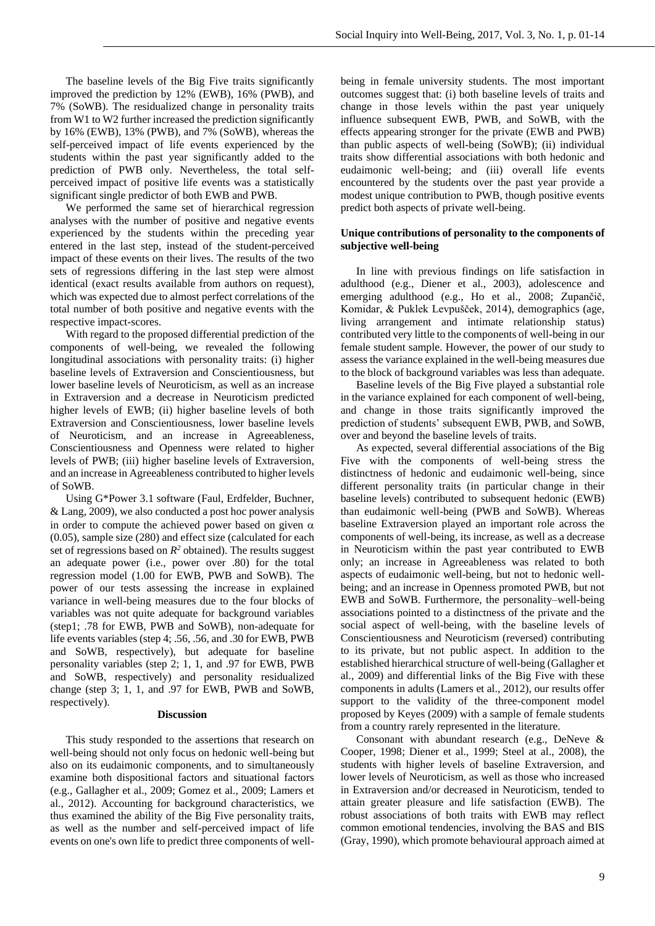The baseline levels of the Big Five traits significantly improved the prediction by 12% (EWB), 16% (PWB), and 7% (SoWB). The residualized change in personality traits from W1 to W2 further increased the prediction significantly by 16% (EWB), 13% (PWB), and 7% (SoWB), whereas the self-perceived impact of life events experienced by the students within the past year significantly added to the prediction of PWB only. Nevertheless, the total selfperceived impact of positive life events was a statistically significant single predictor of both EWB and PWB.

We performed the same set of hierarchical regression analyses with the number of positive and negative events experienced by the students within the preceding year entered in the last step, instead of the student-perceived impact of these events on their lives. The results of the two sets of regressions differing in the last step were almost identical (exact results available from authors on request), which was expected due to almost perfect correlations of the total number of both positive and negative events with the respective impact-scores.

With regard to the proposed differential prediction of the components of well-being, we revealed the following longitudinal associations with personality traits: (i) higher baseline levels of Extraversion and Conscientiousness, but lower baseline levels of Neuroticism, as well as an increase in Extraversion and a decrease in Neuroticism predicted higher levels of EWB; (ii) higher baseline levels of both Extraversion and Conscientiousness, lower baseline levels of Neuroticism, and an increase in Agreeableness, Conscientiousness and Openness were related to higher levels of PWB; (iii) higher baseline levels of Extraversion, and an increase in Agreeableness contributed to higher levels of SoWB.

Using G\*Power 3.1 software (Faul, Erdfelder, Buchner, & Lang, 2009), we also conducted a post hoc power analysis in order to compute the achieved power based on given  $\alpha$ (0.05), sample size (280) and effect size (calculated for each set of regressions based on  $R^2$  obtained). The results suggest an adequate power (i.e., power over .80) for the total regression model (1.00 for EWB, PWB and SoWB). The power of our tests assessing the increase in explained variance in well-being measures due to the four blocks of variables was not quite adequate for background variables (step1; .78 for EWB, PWB and SoWB), non-adequate for life events variables (step 4; .56, .56, and .30 for EWB, PWB and SoWB, respectively), but adequate for baseline personality variables (step 2; 1, 1, and .97 for EWB, PWB and SoWB, respectively) and personality residualized change (step 3; 1, 1, and .97 for EWB, PWB and SoWB, respectively).

# **Discussion**

This study responded to the assertions that research on well-being should not only focus on hedonic well-being but also on its eudaimonic components, and to simultaneously examine both dispositional factors and situational factors (e.g., Gallagher et al., 2009; Gomez et al., 2009; Lamers et al., 2012). Accounting for background characteristics, we thus examined the ability of the Big Five personality traits, as well as the number and self-perceived impact of life events on one's own life to predict three components of wellbeing in female university students. The most important outcomes suggest that: (i) both baseline levels of traits and change in those levels within the past year uniquely influence subsequent EWB, PWB, and SoWB, with the effects appearing stronger for the private (EWB and PWB) than public aspects of well-being (SoWB); (ii) individual traits show differential associations with both hedonic and eudaimonic well-being; and (iii) overall life events encountered by the students over the past year provide a modest unique contribution to PWB, though positive events predict both aspects of private well-being.

# **Unique contributions of personality to the components of subjective well-being**

In line with previous findings on life satisfaction in adulthood (e.g., Diener et al., 2003), adolescence and emerging adulthood (e.g., Ho et al., 2008; Zupančič, Komidar, & Puklek Levpušček, 2014), demographics (age, living arrangement and intimate relationship status) contributed very little to the components of well-being in our female student sample. However, the power of our study to assess the variance explained in the well-being measures due to the block of background variables was less than adequate.

Baseline levels of the Big Five played a substantial role in the variance explained for each component of well-being, and change in those traits significantly improved the prediction of students' subsequent EWB, PWB, and SoWB, over and beyond the baseline levels of traits.

As expected, several differential associations of the Big Five with the components of well-being stress the distinctness of hedonic and eudaimonic well-being, since different personality traits (in particular change in their baseline levels) contributed to subsequent hedonic (EWB) than eudaimonic well-being (PWB and SoWB). Whereas baseline Extraversion played an important role across the components of well-being, its increase, as well as a decrease in Neuroticism within the past year contributed to EWB only; an increase in Agreeableness was related to both aspects of eudaimonic well-being, but not to hedonic wellbeing; and an increase in Openness promoted PWB, but not EWB and SoWB. Furthermore, the personality–well-being associations pointed to a distinctness of the private and the social aspect of well-being, with the baseline levels of Conscientiousness and Neuroticism (reversed) contributing to its private, but not public aspect. In addition to the established hierarchical structure of well-being (Gallagher et al., 2009) and differential links of the Big Five with these components in adults (Lamers et al., 2012), our results offer support to the validity of the three-component model proposed by Keyes (2009) with a sample of female students from a country rarely represented in the literature.

Consonant with abundant research (e.g., DeNeve & Cooper, 1998; Diener et al., 1999; Steel at al., 2008), the students with higher levels of baseline Extraversion, and lower levels of Neuroticism, as well as those who increased in Extraversion and/or decreased in Neuroticism, tended to attain greater pleasure and life satisfaction (EWB). The robust associations of both traits with EWB may reflect common emotional tendencies, involving the BAS and BIS (Gray, 1990), which promote behavioural approach aimed at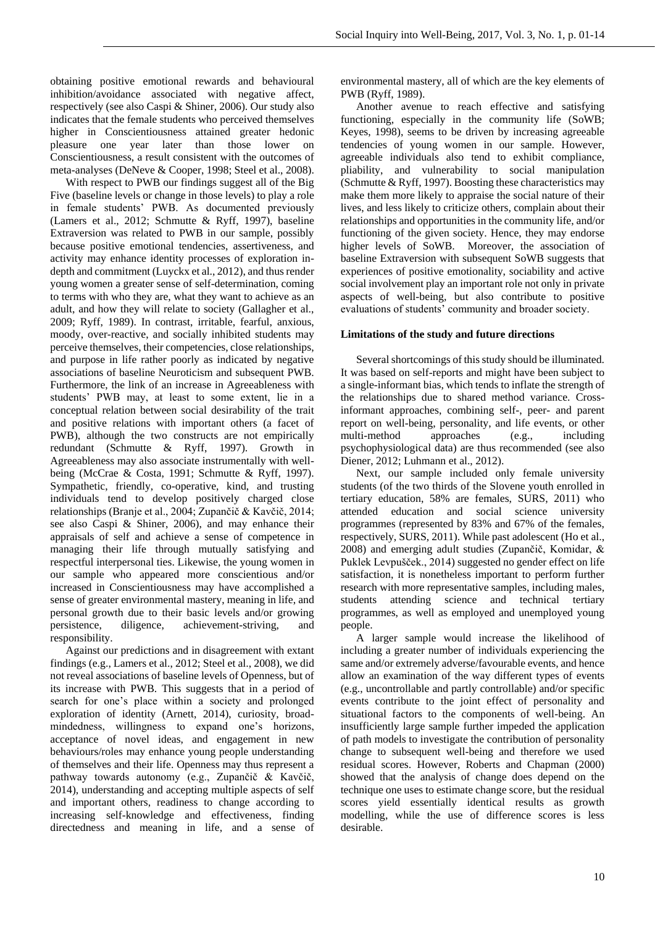obtaining positive emotional rewards and behavioural inhibition/avoidance associated with negative affect, respectively (see also Caspi & Shiner, 2006). Our study also indicates that the female students who perceived themselves higher in Conscientiousness attained greater hedonic pleasure one year later than those lower on Conscientiousness, a result consistent with the outcomes of meta-analyses (DeNeve & Cooper, 1998; Steel et al., 2008).

With respect to PWB our findings suggest all of the Big Five (baseline levels or change in those levels) to play a role in female students' PWB. As documented previously (Lamers et al., 2012; Schmutte & Ryff, 1997), baseline Extraversion was related to PWB in our sample, possibly because positive emotional tendencies, assertiveness, and activity may enhance identity processes of exploration indepth and commitment (Luyckx et al., 2012), and thus render young women a greater sense of self-determination, coming to terms with who they are, what they want to achieve as an adult, and how they will relate to society (Gallagher et al., 2009; Ryff, 1989). In contrast, irritable, fearful, anxious, moody, over-reactive, and socially inhibited students may perceive themselves, their competencies, close relationships, and purpose in life rather poorly as indicated by negative associations of baseline Neuroticism and subsequent PWB. Furthermore, the link of an increase in Agreeableness with students' PWB may, at least to some extent, lie in a conceptual relation between social desirability of the trait and positive relations with important others (a facet of PWB), although the two constructs are not empirically redundant (Schmutte & Ryff, 1997). Growth in Agreeableness may also associate instrumentally with wellbeing (McCrae & Costa, 1991; Schmutte & Ryff, 1997). Sympathetic, friendly, co-operative, kind, and trusting individuals tend to develop positively charged close relationships (Branje et al., 2004; Zupančič & Kavčič, 2014; see also Caspi & Shiner, 2006), and may enhance their appraisals of self and achieve a sense of competence in managing their life through mutually satisfying and respectful interpersonal ties. Likewise, the young women in our sample who appeared more conscientious and/or increased in Conscientiousness may have accomplished a sense of greater environmental mastery, meaning in life, and personal growth due to their basic levels and/or growing persistence, diligence, achievement-striving, and responsibility.

Against our predictions and in disagreement with extant findings (e.g., Lamers et al., 2012; Steel et al., 2008), we did not reveal associations of baseline levels of Openness, but of its increase with PWB. This suggests that in a period of search for one's place within a society and prolonged exploration of identity (Arnett, 2014), curiosity, broadmindedness, willingness to expand one's horizons, acceptance of novel ideas, and engagement in new behaviours/roles may enhance young people understanding of themselves and their life. Openness may thus represent a pathway towards autonomy (e.g., Zupančič & Kavčič, 2014), understanding and accepting multiple aspects of self and important others, readiness to change according to increasing self-knowledge and effectiveness, finding directedness and meaning in life, and a sense of

environmental mastery, all of which are the key elements of PWB (Ryff, 1989).

Another avenue to reach effective and satisfying functioning, especially in the community life (SoWB; Keyes, 1998), seems to be driven by increasing agreeable tendencies of young women in our sample. However, agreeable individuals also tend to exhibit compliance, pliability, and vulnerability to social manipulation (Schmutte & Ryff, 1997). Boosting these characteristics may make them more likely to appraise the social nature of their lives, and less likely to criticize others, complain about their relationships and opportunities in the community life, and/or functioning of the given society. Hence, they may endorse higher levels of SoWB. Moreover, the association of baseline Extraversion with subsequent SoWB suggests that experiences of positive emotionality, sociability and active social involvement play an important role not only in private aspects of well-being, but also contribute to positive evaluations of students' community and broader society.

# **Limitations of the study and future directions**

Several shortcomings of this study should be illuminated. It was based on self-reports and might have been subject to a single-informant bias, which tends to inflate the strength of the relationships due to shared method variance. Crossinformant approaches, combining self-, peer- and parent report on well-being, personality, and life events, or other multi-method approaches (e.g., including psychophysiological data) are thus recommended (see also Diener, 2012; Luhmann et al., 2012).

Next, our sample included only female university students (of the two thirds of the Slovene youth enrolled in tertiary education, 58% are females, SURS, 2011) who attended education and social science university programmes (represented by 83% and 67% of the females, respectively, SURS, 2011). While past adolescent (Ho et al., 2008) and emerging adult studies (Zupančič, Komidar, & Puklek Levpušček., 2014) suggested no gender effect on life satisfaction, it is nonetheless important to perform further research with more representative samples, including males, students attending science and technical tertiary programmes, as well as employed and unemployed young people.

A larger sample would increase the likelihood of including a greater number of individuals experiencing the same and/or extremely adverse/favourable events, and hence allow an examination of the way different types of events (e.g., uncontrollable and partly controllable) and/or specific events contribute to the joint effect of personality and situational factors to the components of well-being. An insufficiently large sample further impeded the application of path models to investigate the contribution of personality change to subsequent well-being and therefore we used residual scores. However, Roberts and Chapman (2000) showed that the analysis of change does depend on the technique one uses to estimate change score, but the residual scores yield essentially identical results as growth modelling, while the use of difference scores is less desirable.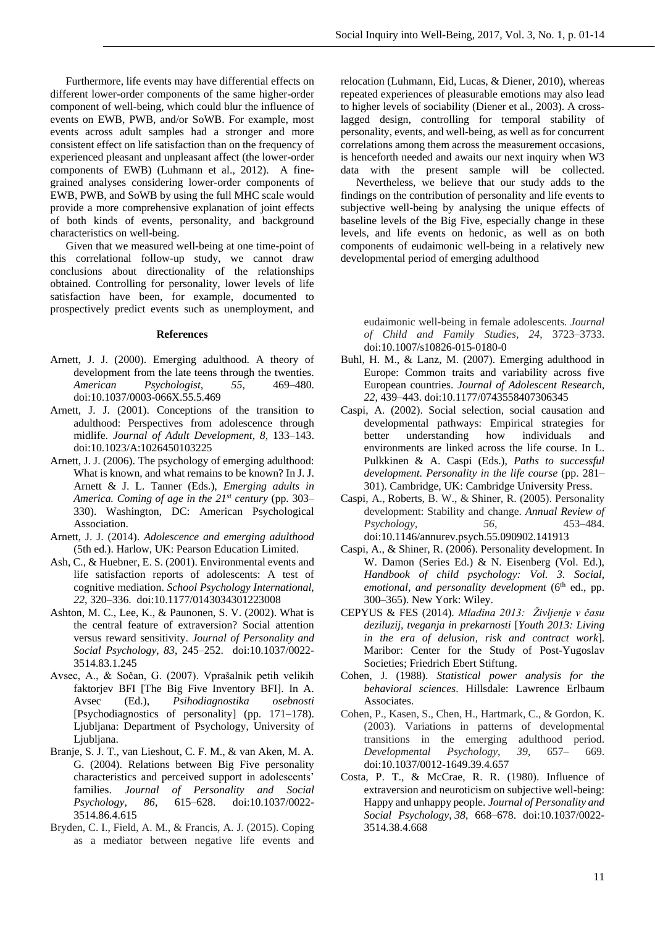Furthermore, life events may have differential effects on different lower-order components of the same higher-order component of well-being, which could blur the influence of events on EWB, PWB, and/or SoWB. For example, most events across adult samples had a stronger and more consistent effect on life satisfaction than on the frequency of experienced pleasant and unpleasant affect (the lower-order components of EWB) (Luhmann et al., 2012). A finegrained analyses considering lower-order components of EWB, PWB, and SoWB by using the full MHC scale would provide a more comprehensive explanation of joint effects of both kinds of events, personality, and background characteristics on well-being.

Given that we measured well-being at one time-point of this correlational follow-up study, we cannot draw conclusions about directionality of the relationships obtained. Controlling for personality, lower levels of life satisfaction have been, for example, documented to prospectively predict events such as unemployment, and

#### **References**

- Arnett, J. J. (2000). Emerging adulthood. A theory of development from the late teens through the twenties. *American Psychologist, 55*, 469–480. doi:10.1037/0003-066X.55.5.469
- Arnett, J. J. (2001). Conceptions of the transition to adulthood: Perspectives from adolescence through midlife. *Journal of Adult Development, 8*, 133–143. doi:10.1023/A:1026450103225
- Arnett, J. J. (2006). The psychology of emerging adulthood: What is known, and what remains to be known? In J. J. Arnett & J. L. Tanner (Eds.), *Emerging adults in America. Coming of age in the 21st century* (pp. 303– 330). Washington, DC: American Psychological Association.
- Arnett, J. J. (2014). *Adolescence and emerging adulthood* (5th ed.). Harlow, UK: Pearson Education Limited.
- Ash, C., & Huebner, E. S. (2001). Environmental events and life satisfaction reports of adolescents: A test of cognitive mediation. *School Psychology International, 22*, 320–336. doi:10.1177/0143034301223008
- Ashton, M. C., Lee, K., & Paunonen, S. V. (2002). What is the central feature of extraversion? Social attention versus reward sensitivity. *Journal of Personality and Social Psychology, 83*, 245–252. doi:10.1037/0022- 3514.83.1.245
- Avsec, A., & Sočan, G. (2007). Vprašalnik petih velikih faktorjev BFI [The Big Five Inventory BFI]. In A. Avsec (Ed.), *Psihodiagnostika osebnosti* [Psychodiagnostics of personality] (pp. 171–178). Ljubljana: Department of Psychology, University of Ljubljana.
- Branje, S. J. T., van Lieshout, C. F. M., & van Aken, M. A. G. (2004). Relations between Big Five personality characteristics and perceived support in adolescents' families. *Journal of Personality and Social Psychology, 86*, 615–628. doi:10.1037/0022- 3514.86.4.615
- Bryden, C. I., Field, A. M., & Francis, A. J. (2015). Coping as a mediator between negative life events and

relocation (Luhmann, Eid, Lucas, & Diener, 2010), whereas repeated experiences of pleasurable emotions may also lead to higher levels of sociability (Diener et al., 2003). A crosslagged design, controlling for temporal stability of personality, events, and well-being, as well as for concurrent correlations among them across the measurement occasions, is henceforth needed and awaits our next inquiry when W3 data with the present sample will be collected.

Nevertheless, we believe that our study adds to the findings on the contribution of personality and life events to subjective well-being by analysing the unique effects of baseline levels of the Big Five, especially change in these levels, and life events on hedonic, as well as on both components of eudaimonic well-being in a relatively new developmental period of emerging adulthood

eudaimonic well-being in female adolescents. *Journal of Child and Family Studies*, *24*, 3723–3733. doi:10.1007/s10826-015-0180-0

- Buhl, H. M., & Lanz, M. (2007). Emerging adulthood in Europe: Common traits and variability across five European countries. *Journal of Adolescent Research, 22*, 439–443. doi:10.1177/0743558407306345
- Caspi, A. (2002). Social selection, social causation and developmental pathways: Empirical strategies for better understanding how individuals and environments are linked across the life course. In L. Pulkkinen & A. Caspi (Eds.), *Paths to successful development. Personality in the life course* (pp. 281– 301). Cambridge, UK: Cambridge University Press.
- Caspi, A., Roberts, B. W., & Shiner, R. (2005). Personality development: Stability and change. *Annual Review of Psychology, 56*, 453–484. doi:10.1146/annurev.psych.55.090902.141913
- Caspi, A., & Shiner, R. (2006). Personality development. In W. Damon (Series Ed.) & N. Eisenberg (Vol. Ed.), *Handbook of child psychology: Vol. 3. Social, emotional, and personality development* (6<sup>th</sup> ed., pp. 300–365). New York: Wiley.
- CEPYUS & FES (2014). *Mladina 2013: Življenje v času deziluzij, tveganja in prekarnosti* [*Youth 2013: Living in the era of delusion, risk and contract work*]. Maribor: Center for the Study of Post-Yugoslav Societies; Friedrich Ebert Stiftung.
- Cohen, J. (1988). *Statistical power analysis for the behavioral sciences*. Hillsdale: Lawrence Erlbaum Associates.
- Cohen, P., Kasen, S., Chen, H., Hartmark, C., & Gordon, K. (2003). Variations in patterns of developmental transitions in the emerging adulthood period.<br>Developmental Psychology, 39, 657–669. *Developmental Psychology*, *39*, 657– 669. doi:10.1037/0012-1649.39.4.657
- Costa, P. T., & McCrae, R. R. (1980). Influence of extraversion and neuroticism on subjective well-being: Happy and unhappy people. *Journal of Personality and Social Psychology, 38*, 668–678. doi:10.1037/0022- 3514.38.4.668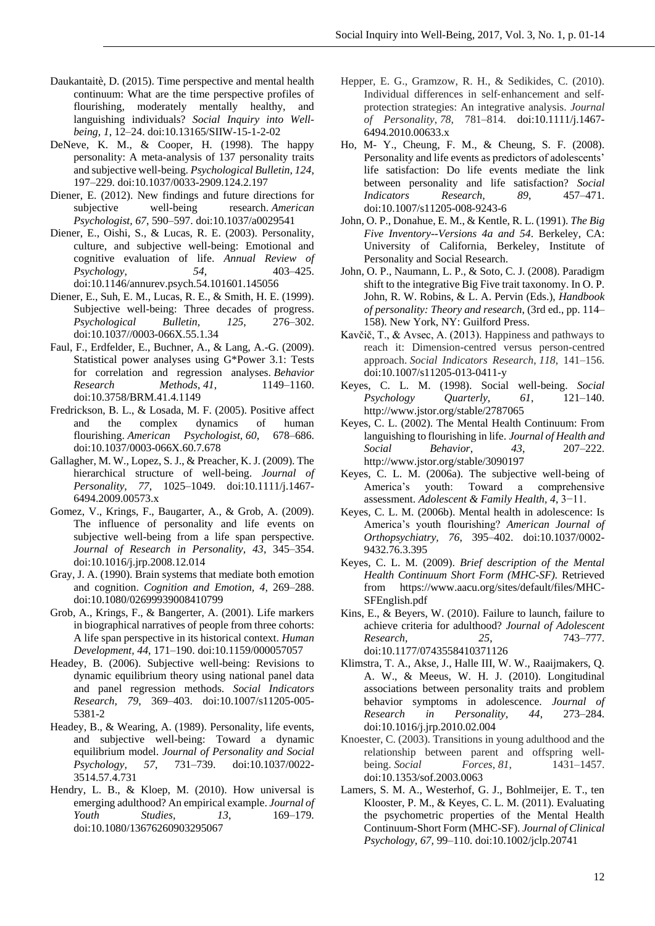- Daukantaitè, D. (2015). Time perspective and mental health continuum: What are the time perspective profiles of flourishing, moderately mentally healthy, and languishing individuals? *Social Inquiry into Wellbeing, 1*, 12–24. doi:10.13165/SIIW-15-1-2-02
- DeNeve, K. M., & Cooper, H. (1998). The happy personality: A meta-analysis of 137 personality traits and subjective well-being. *Psychological Bulletin, 124*, 197–229. doi:10.1037/0033-2909.124.2.197
- Diener, E. (2012). New findings and future directions for subjective well-being research. *American Psychologist, 67*, 590–597. doi:10.1037/a0029541
- Diener, E., Oishi, S., & Lucas, R. E. (2003). Personality, culture, and subjective well-being: Emotional and cognitive evaluation of life. *Annual Review of Psychology, 54*, 403–425. doi:10.1146/annurev.psych.54.101601.145056
- Diener, E., Suh, E. M., Lucas, R. E., & Smith, H. E. (1999). Subjective well-being: Three decades of progress. *Psychological Bulletin, 125*, 276–302. doi:10.1037//0003-066X.55.1.34
- Faul, F., Erdfelder, E., Buchner, A., & Lang, A.-G. (2009). Statistical power analyses using G\*Power 3.1: Tests for correlation and regression analyses. *Behavior Research Methods*, *41*, 1149–1160. doi:10.3758/BRM.41.4.1149
- Fredrickson, B. L., & Losada, M. F. (2005). Positive affect and the complex dynamics of human flourishing. *American Psychologist, 60*, 678–686. doi:10.1037/0003-066X.60.7.678
- Gallagher, M. W., Lopez, S. J., & Preacher, K. J. (2009). The hierarchical structure of well-being. *Journal of Personality, 77,* 1025–1049. doi:10.1111/j.1467- 6494.2009.00573.x
- Gomez, V., Krings, F., Baugarter, A., & Grob, A. (2009). The influence of personality and life events on subjective well-being from a life span perspective. *Journal of Research in Personality, 43*, 345–354. doi:10.1016/j.jrp.2008.12.014
- Gray, J. A. (1990). Brain systems that mediate both emotion and cognition. *Cognition and Emotion, 4*, 269–288. doi:10.1080/02699939008410799
- Grob, A., Krings, F., & Bangerter, A. (2001). Life markers in biographical narratives of people from three cohorts: A life span perspective in its historical context. *Human Development, 44*, 171–190. doi:10.1159/000057057
- Headey, B. (2006). Subjective well-being: Revisions to dynamic equilibrium theory using national panel data and panel regression methods. *Social Indicators Research, 79*, 369–403. doi:10.1007/s11205-005- 5381-2
- Headey, B., & Wearing, A. (1989). Personality, life events, and subjective well-being: Toward a dynamic equilibrium model. *Journal of Personality and Social Psychology, 57*, 731–739. doi:10.1037/0022- 3514.57.4.731
- Hendry, L. B., & Kloep, M. (2010). How universal is emerging adulthood? An empirical example. *Journal of Youth Studies, 13*, 169–179. doi:10.1080/13676260903295067
- Hepper, E. G., Gramzow, R. H., & Sedikides, C. (2010). Individual differences in self‐enhancement and self‐ protection strategies: An integrative analysis. *Journal of Personality*, *78*, 781–814. doi:10.1111/j.1467- 6494.2010.00633.x
- Ho, M- Y., Cheung, F. M., & Cheung, S. F. (2008). Personality and life events as predictors of adolescents' life satisfaction: Do life events mediate the link between personality and life satisfaction? *Social Indicators Research, 89*, 457–471. doi:10.1007/s11205-008-9243-6
- John, O. P., Donahue, E. M., & Kentle, R. L. (1991). *The Big Five Inventory--Versions 4a and 54*. Berkeley, CA: University of California, Berkeley, Institute of Personality and Social Research.
- John, O. P., Naumann, L. P., & Soto, C. J. (2008). Paradigm shift to the integrative Big Five trait taxonomy. In O. P. John, R. W. Robins, & L. A. Pervin (Eds.), *Handbook of personality: Theory and research*, (3rd ed., pp. 114– 158). New York, NY: Guilford Press.
- Kavčič, T., & Avsec, A. (2013). Happiness and pathways to reach it: Dimension-centred versus person-centred approach. *Social Indicators Research*, *118*, 141–156. doi:10.1007/s11205-013-0411-y
- Keyes, C. L. M. (1998). Social well-being. *Social Psychology Quarterly, 61*, 121–140. http://www.jstor.org/stable/2787065
- Keyes, C. L. (2002). The Mental Health Continuum: From languishing to flourishing in life. *Journal of Health and Social Behavior*, *43*, 207–222. http://www.jstor.org/stable/3090197
- Keyes, C. L. M. (2006a). The subjective well-being of America's youth: Toward a comprehensive assessment. *Adolescent & Family Health, 4*, 3−11.
- Keyes, C. L. M. (2006b). Mental health in adolescence: Is America's youth flourishing? *American Journal of Orthopsychiatry, 76*, 395–402. doi:10.1037/0002- 9432.76.3.395
- Keyes, C. L. M. (2009). *Brief description of the Mental Health Continuum Short Form (MHC-SF).* Retrieved from https://www.aacu.org/sites/default/files/MHC-SFEnglish.pdf
- Kins, E., & Beyers, W. (2010). Failure to launch, failure to achieve criteria for adulthood? *Journal of Adolescent Research, 25*, 743–777. doi:10.1177/0743558410371126
- Klimstra, T. A., Akse, J., Halle III, W. W., Raaijmakers, Q. A. W., & Meeus, W. H. J. (2010). Longitudinal associations between personality traits and problem behavior symptoms in adolescence. *Journal of Research in Personality, 44*, 273–284. doi:10.1016/j.jrp.2010.02.004
- Knoester, C. (2003). Transitions in young adulthood and the relationship between parent and offspring wellbeing. *Social Forces*, *81*, 1431–1457. doi:10.1353/sof.2003.0063
- Lamers, S. M. A., Westerhof, G. J., Bohlmeijer, E. T., ten Klooster, P. M., & Keyes, C. L. M. (2011). Evaluating the psychometric properties of the Mental Health Continuum-Short Form (MHC-SF). *Journal of Clinical Psychology, 67,* 99–110. doi:10.1002/jclp.20741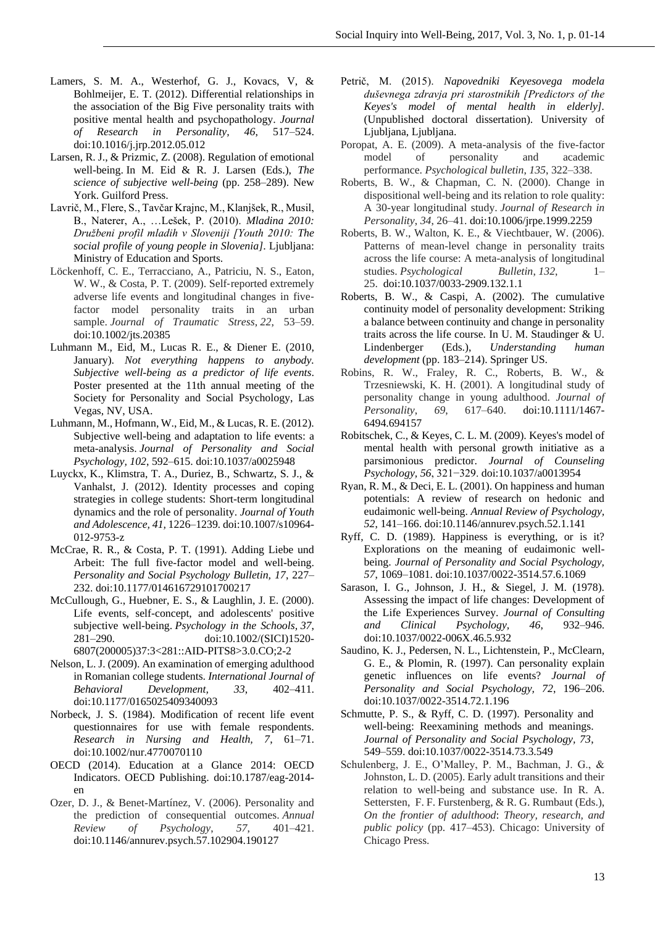- Lamers, S. M. A., Westerhof, G. J., Kovacs, V, & Bohlmeijer, E. T. (2012). Differential relationships in the association of the Big Five personality traits with positive mental health and psychopathology. *Journal of Research in Personality, 46*, 517–524. doi:10.1016/j.jrp.2012.05.012
- Larsen, R. J., & Prizmic, Z. (2008). Regulation of emotional well-being. In M. Eid & R. J. Larsen (Eds.), *The science of subjective well-being* (pp. 258–289). New York. Guilford Press.
- Lavrič, M., Flere, S., Tavčar Krajnc, M., Klanjšek, R., Musil, B., Naterer, A., …Lešek, P. (2010). *Mladina 2010: Družbeni profil mladih v Sloveniji [Youth 2010: [The](http://www.academia.edu/1065858/Youth_2010_The_social_profile_of_young_people_in_Slovenia)  [social profile of young people in Slovenia\]](http://www.academia.edu/1065858/Youth_2010_The_social_profile_of_young_people_in_Slovenia)*. Ljubljana: Ministry of Education and Sports.
- Löckenhoff, C. E., Terracciano, A., Patriciu, N. S., Eaton, W. W., & Costa, P. T. (2009). Self-reported extremely adverse life events and longitudinal changes in five‐ factor model personality traits in an urban sample. *Journal of Traumatic Stress*, *22*, 53–59. doi:10.1002/jts.20385
- Luhmann M., Eid, M., Lucas R. E., & Diener E. (2010, January). *Not everything happens to anybody. Subjective well-being as a predictor of life events*. Poster presented at the 11th annual meeting of the Society for Personality and Social Psychology, Las Vegas, NV, USA.
- Luhmann, M., Hofmann, W., Eid, M., & Lucas, R. E. (2012). Subjective well-being and adaptation to life events: a meta-analysis. *Journal of Personality and Social Psychology, 102*, 592–615. doi:10.1037/a0025948
- Luyckx, K., Klimstra, T. A., Duriez, B., Schwartz, S. J., & Vanhalst, J. (2012). Identity processes and coping strategies in college students: Short-term longitudinal dynamics and the role of personality. *Journal of Youth and Adolescence, 41,* 1226–1239*.* doi:10.1007/s10964- 012-9753-z
- McCrae, R. R., & Costa, P. T. (1991). Adding Liebe und Arbeit: The full five-factor model and well-being. *Personality and Social Psychology Bulletin, 17*, 227– 232. doi:10.1177/014616729101700217
- McCullough, G., Huebner, E. S., & Laughlin, J. E. (2000). Life events, self-concept, and adolescents' positive subjective well-being. *Psychology in the Schools, 37*, 281–290. doi:10.1002/(SICI)1520- 6807(200005)37:3<281::AID-PITS8>3.0.CO;2-2
- Nelson, L. J. (2009). An examination of emerging adulthood in Romanian college students. *International Journal of Behavioral Development, 33*, 402–411. doi:10.1177/0165025409340093
- Norbeck, J. S. (1984). Modification of recent life event questionnaires for use with female respondents. *Research in Nursing and Health, 7*, 61–71. doi:10.1002/nur.4770070110
- OECD (2014). Education at a Glance 2014: OECD Indicators. OECD Publishing. doi:10.1787/eag-2014 en
- Ozer, D. J., & Benet-Martínez, V. (2006). Personality and the prediction of consequential outcomes. *Annual* Review of Psychology, 57, 401–421. *Review of Psychology*, 57, doi:10.1146/annurev.psych.57.102904.190127
- Petrič, M. (2015). *Napovedniki Keyesovega modela duševnega zdravja pri starostnikih [Predictors of the Keyes's model of mental health in elderly].*  (Unpublished doctoral dissertation). University of Ljubljana, Ljubljana.
- Poropat, A. E. (2009). A meta-analysis of the five-factor model of personality and academic performance. *Psychological bulletin*, *135*, 322–338.
- Roberts, B. W., & Chapman, C. N. (2000). Change in dispositional well-being and its relation to role quality: A 30-year longitudinal study. *Journal of Research in Personality*, *34*, 26–41. doi:10.1006/jrpe.1999.2259
- Roberts, B. W., Walton, K. E., & Viechtbauer, W. (2006). Patterns of mean-level change in personality traits across the life course: A meta-analysis of longitudinal studies. *Psychological Bulletin*, *132*, 1– 25. doi:10.1037/0033-2909.132.1.1
- Roberts, B. W., & Caspi, A. (2002). The cumulative continuity model of personality development: Striking a balance between continuity and change in personality traits across the life course. In U. M. Staudinger & U. Lindenberger (Eds.), *Understanding human development* (pp. 183–214). Springer US.
- Robins, R. W., Fraley, R. C., Roberts, B. W., & Trzesniewski, K. H. (2001). A longitudinal study of personality change in young adulthood. *Journal of Personality*, *69*, 617–640. doi:10.1111/1467- 6494.694157
- Robitschek, C., & Keyes, C. L. M. (2009). Keyes's model of mental health with personal growth initiative as a parsimonious predictor. *Journal of Counseling Psychology, 56*, 321−329. doi:10.1037/a0013954
- Ryan, R. M., & Deci, E. L. (2001). On happiness and human potentials: A review of research on hedonic and eudaimonic well-being. *Annual Review of Psychology, 52*, 141–166. doi:10.1146/annurev.psych.52.1.141
- Ryff, C. D. (1989). Happiness is everything, or is it? Explorations on the meaning of eudaimonic wellbeing. *Journal of Personality and Social Psychology, 57*, 1069–1081. doi:10.1037/0022-3514.57.6.1069
- Sarason, I. G., Johnson, J. H., & Siegel, J. M. (1978). Assessing the impact of life changes: Development of the Life Experiences Survey. *Journal of Consulting and Clinical Psychology, 46*, 932–946. doi:10.1037/0022-006X.46.5.932
- Saudino, K. J., Pedersen, N. L., Lichtenstein, P., McClearn, G. E., & Plomin, R. (1997). Can personality explain genetic influences on life events? *Journal of Personality and Social Psychology, 72*, 196–206. doi:10.1037/0022-3514.72.1.196
- Schmutte, P. S., & Ryff, C. D. (1997). Personality and well-being: Reexamining methods and meanings. *Journal of Personality and Social Psychology, 73*, 549–559. doi:10.1037/0022-3514.73.3.549
- Schulenberg, J. E., O'Malley, P. M., Bachman, J. G., & Johnston, L. D. (2005). Early adult transitions and their relation to well-being and substance use. In R. A. Settersten, F. F. Furstenberg, & R. G. Rumbaut (Eds.), *On the frontier of adulthood*: *Theory, research, and public policy* (pp. 417–453). Chicago: University of Chicago Press.